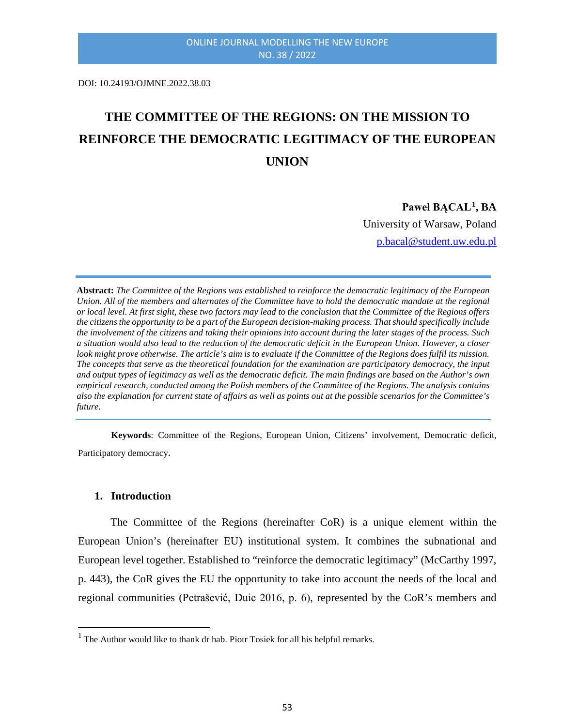DOI: 10.24193/OJMNE.2022.38.03

# **THE COMMITTEE OF THE REGIONS: ON THE MISSION TO REINFORCE THE DEMOCRATIC LEGITIMACY OF THE EUROPEAN UNION**

#### **Paweł BĄCAL[1](#page-0-0), BA**

University of Warsaw, Poland [p.bacal@student.uw.edu.pl](mailto:p.bacal@student.uw.edu.pl)

**Abstract:** *The Committee of the Regions was established to reinforce the democratic legitimacy of the European Union. All of the members and alternates of the Committee have to hold the democratic mandate at the regional or local level. At first sight, these two factors may lead to the conclusion that the Committee of the Regions offers the citizens the opportunity to be a part of the European decision-making process. That should specifically include the involvement of the citizens and taking their opinions into account during the later stages of the process. Such a situation would also lead to the reduction of the democratic deficit in the European Union. However, a closer look might prove otherwise. The article's aim is to evaluate if the Committee of the Regions does fulfil its mission. The concepts that serve as the theoretical foundation for the examination are participatory democracy, the input and output types of legitimacy as well as the democratic deficit. The main findings are based on the Author's own empirical research, conducted among the Polish members of the Committee of the Regions. The analysis contains also the explanation for current state of affairs as well as points out at the possible scenarios for the Committee's future.*

**Keywords**: Committee of the Regions, European Union, Citizens' involvement, Democratic deficit, Participatory democracy.

#### **1. Introduction**

<u>.</u>

The Committee of the Regions (hereinafter CoR) is a unique element within the European Union's (hereinafter EU) institutional system. It combines the subnational and European level together. Established to "reinforce the democratic legitimacy" (McCarthy 1997, p. 443), the CoR gives the EU the opportunity to take into account the needs of the local and regional communities (Petrašević, Duic 2016, p. 6), represented by the CoR's members and

<span id="page-0-0"></span> $<sup>1</sup>$  The Author would like to thank dr hab. Piotr Tosiek for all his helpful remarks.</sup>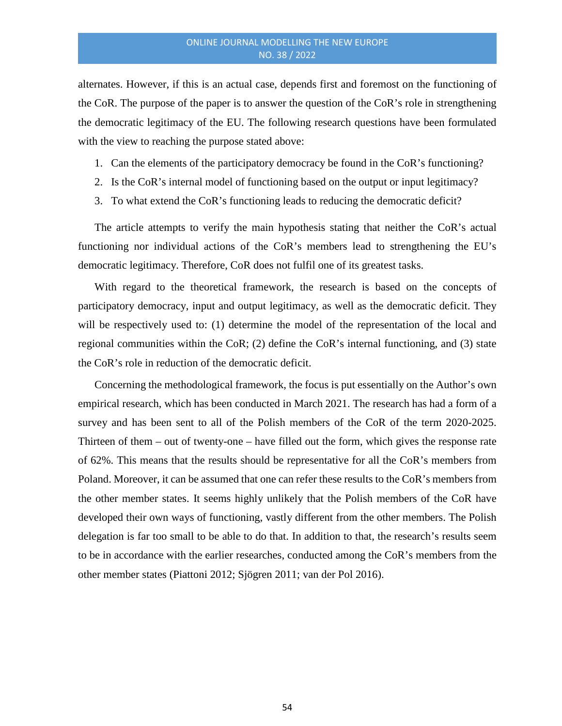alternates. However, if this is an actual case, depends first and foremost on the functioning of the CoR. The purpose of the paper is to answer the question of the CoR's role in strengthening the democratic legitimacy of the EU. The following research questions have been formulated with the view to reaching the purpose stated above:

- 1. Can the elements of the participatory democracy be found in the CoR's functioning?
- 2. Is the CoR's internal model of functioning based on the output or input legitimacy?
- 3. To what extend the CoR's functioning leads to reducing the democratic deficit?

The article attempts to verify the main hypothesis stating that neither the CoR's actual functioning nor individual actions of the CoR's members lead to strengthening the EU's democratic legitimacy. Therefore, CoR does not fulfil one of its greatest tasks.

With regard to the theoretical framework, the research is based on the concepts of participatory democracy, input and output legitimacy, as well as the democratic deficit. They will be respectively used to: (1) determine the model of the representation of the local and regional communities within the CoR; (2) define the CoR's internal functioning, and (3) state the CoR's role in reduction of the democratic deficit.

Concerning the methodological framework, the focus is put essentially on the Author's own empirical research, which has been conducted in March 2021. The research has had a form of a survey and has been sent to all of the Polish members of the CoR of the term 2020-2025. Thirteen of them – out of twenty-one – have filled out the form, which gives the response rate of 62%. This means that the results should be representative for all the CoR's members from Poland. Moreover, it can be assumed that one can refer these results to the CoR's members from the other member states. It seems highly unlikely that the Polish members of the CoR have developed their own ways of functioning, vastly different from the other members. The Polish delegation is far too small to be able to do that. In addition to that, the research's results seem to be in accordance with the earlier researches, conducted among the CoR's members from the other member states (Piattoni 2012; Sjögren 2011; van der Pol 2016).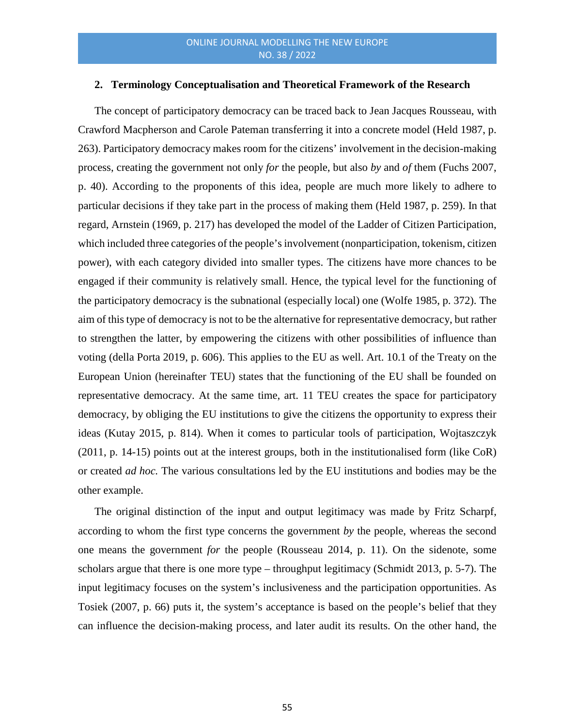#### **2. Terminology Conceptualisation and Theoretical Framework of the Research**

The concept of participatory democracy can be traced back to Jean Jacques Rousseau, with Crawford Macpherson and Carole Pateman transferring it into a concrete model (Held 1987, p. 263). Participatory democracy makes room for the citizens' involvement in the decision-making process, creating the government not only *for* the people, but also *by* and *of* them (Fuchs 2007, p. 40). According to the proponents of this idea, people are much more likely to adhere to particular decisions if they take part in the process of making them (Held 1987*,* p. 259). In that regard, Arnstein (1969, p. 217) has developed the model of the Ladder of Citizen Participation, which included three categories of the people's involvement (nonparticipation, tokenism, citizen power), with each category divided into smaller types. The citizens have more chances to be engaged if their community is relatively small. Hence, the typical level for the functioning of the participatory democracy is the subnational (especially local) one (Wolfe 1985, p. 372). The aim of this type of democracy is not to be the alternative for representative democracy, but rather to strengthen the latter, by empowering the citizens with other possibilities of influence than voting (della Porta 2019, p. 606). This applies to the EU as well. Art. 10.1 of the Treaty on the European Union (hereinafter TEU) states that the functioning of the EU shall be founded on representative democracy. At the same time, art. 11 TEU creates the space for participatory democracy, by obliging the EU institutions to give the citizens the opportunity to express their ideas (Kutay 2015, p. 814). When it comes to particular tools of participation, Wojtaszczyk (2011, p. 14-15) points out at the interest groups, both in the institutionalised form (like CoR) or created *ad hoc.* The various consultations led by the EU institutions and bodies may be the other example.

The original distinction of the input and output legitimacy was made by Fritz Scharpf, according to whom the first type concerns the government *by* the people, whereas the second one means the government *for* the people (Rousseau 2014, p. 11). On the sidenote, some scholars argue that there is one more type – throughput legitimacy (Schmidt 2013, p. 5-7). The input legitimacy focuses on the system's inclusiveness and the participation opportunities. As Tosiek (2007, p. 66) puts it, the system's acceptance is based on the people's belief that they can influence the decision-making process, and later audit its results. On the other hand, the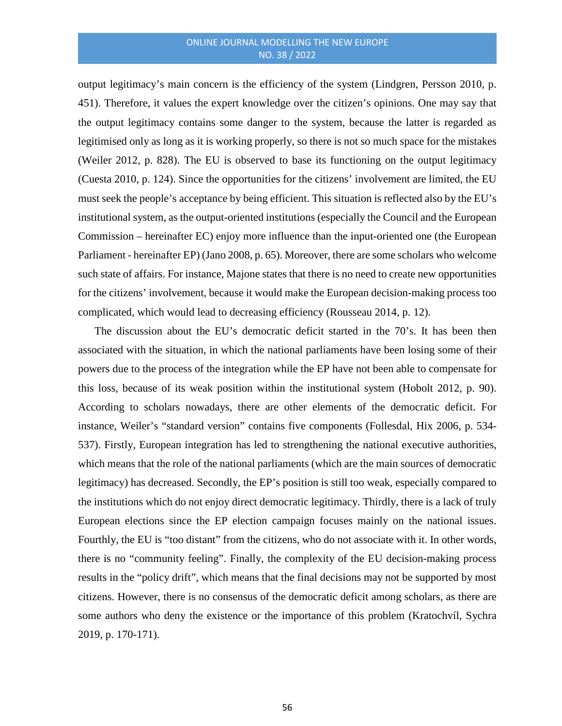output legitimacy's main concern is the efficiency of the system (Lindgren, Persson 2010, p. 451). Therefore, it values the expert knowledge over the citizen's opinions. One may say that the output legitimacy contains some danger to the system, because the latter is regarded as legitimised only as long as it is working properly, so there is not so much space for the mistakes (Weiler 2012, p. 828). The EU is observed to base its functioning on the output legitimacy (Cuesta 2010, p. 124). Since the opportunities for the citizens' involvement are limited, the EU must seek the people's acceptance by being efficient. This situation is reflected also by the EU's institutional system, as the output-oriented institutions (especially the Council and the European Commission – hereinafter EC) enjoy more influence than the input-oriented one (the European Parliament - hereinafter EP) (Jano 2008, p. 65). Moreover, there are some scholars who welcome such state of affairs. For instance, Majone states that there is no need to create new opportunities for the citizens' involvement, because it would make the European decision-making process too complicated, which would lead to decreasing efficiency (Rousseau 2014, p. 12).

The discussion about the EU's democratic deficit started in the 70's. It has been then associated with the situation, in which the national parliaments have been losing some of their powers due to the process of the integration while the EP have not been able to compensate for this loss, because of its weak position within the institutional system (Hobolt 2012, p. 90). According to scholars nowadays, there are other elements of the democratic deficit. For instance, Weiler's "standard version" contains five components (Follesdal, Hix 2006, p. 534- 537). Firstly, European integration has led to strengthening the national executive authorities, which means that the role of the national parliaments (which are the main sources of democratic legitimacy) has decreased. Secondly, the EP's position is still too weak, especially compared to the institutions which do not enjoy direct democratic legitimacy. Thirdly, there is a lack of truly European elections since the EP election campaign focuses mainly on the national issues. Fourthly, the EU is "too distant" from the citizens, who do not associate with it. In other words, there is no "community feeling". Finally, the complexity of the EU decision-making process results in the "policy drift", which means that the final decisions may not be supported by most citizens. However, there is no consensus of the democratic deficit among scholars, as there are some authors who deny the existence or the importance of this problem (Kratochvíl, Sychra 2019, p. 170-171).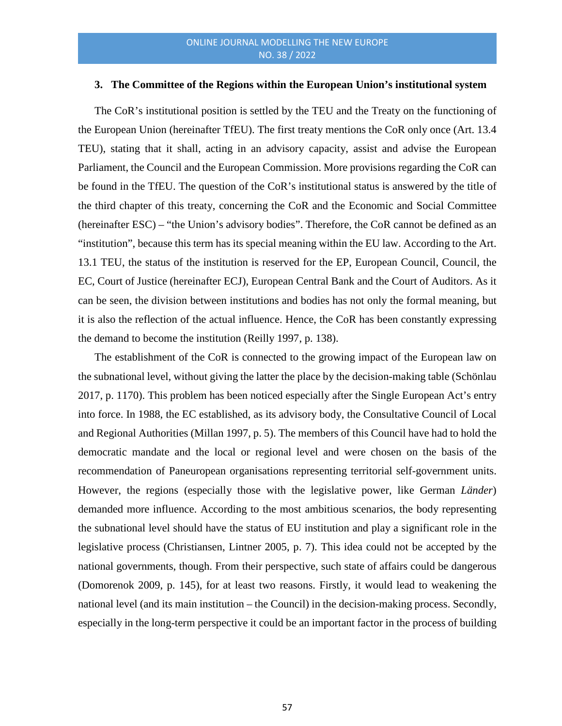#### **3. The Committee of the Regions within the European Union's institutional system**

The CoR's institutional position is settled by the TEU and the Treaty on the functioning of the European Union (hereinafter TfEU). The first treaty mentions the CoR only once (Art. 13.4 TEU), stating that it shall, acting in an advisory capacity, assist and advise the European Parliament, the Council and the European Commission. More provisions regarding the CoR can be found in the TfEU. The question of the CoR's institutional status is answered by the title of the third chapter of this treaty, concerning the CoR and the Economic and Social Committee (hereinafter ESC) – "the Union's advisory bodies". Therefore, the CoR cannot be defined as an "institution", because this term has its special meaning within the EU law. According to the Art. 13.1 TEU, the status of the institution is reserved for the EP, European Council, Council, the EC, Court of Justice (hereinafter ECJ), European Central Bank and the Court of Auditors. As it can be seen, the division between institutions and bodies has not only the formal meaning, but it is also the reflection of the actual influence. Hence, the CoR has been constantly expressing the demand to become the institution (Reilly 1997, p. 138).

The establishment of the CoR is connected to the growing impact of the European law on the subnational level, without giving the latter the place by the decision-making table (Schönlau 2017, p. 1170). This problem has been noticed especially after the Single European Act's entry into force. In 1988, the EC established, as its advisory body, the Consultative Council of Local and Regional Authorities (Millan 1997, p. 5). The members of this Council have had to hold the democratic mandate and the local or regional level and were chosen on the basis of the recommendation of Paneuropean organisations representing territorial self-government units. However, the regions (especially those with the legislative power, like German *Länder*) demanded more influence. According to the most ambitious scenarios, the body representing the subnational level should have the status of EU institution and play a significant role in the legislative process (Christiansen, Lintner 2005, p. 7). This idea could not be accepted by the national governments, though. From their perspective, such state of affairs could be dangerous (Domorenok 2009, p. 145), for at least two reasons. Firstly, it would lead to weakening the national level (and its main institution – the Council) in the decision-making process. Secondly, especially in the long-term perspective it could be an important factor in the process of building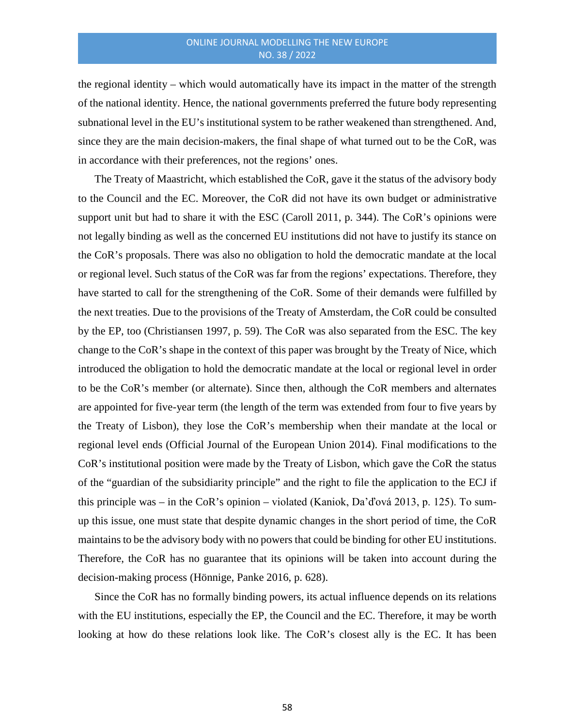the regional identity – which would automatically have its impact in the matter of the strength of the national identity. Hence, the national governments preferred the future body representing subnational level in the EU's institutional system to be rather weakened than strengthened. And, since they are the main decision-makers, the final shape of what turned out to be the CoR, was in accordance with their preferences, not the regions' ones.

The Treaty of Maastricht, which established the CoR, gave it the status of the advisory body to the Council and the EC. Moreover, the CoR did not have its own budget or administrative support unit but had to share it with the ESC (Caroll 2011, p. 344). The CoR's opinions were not legally binding as well as the concerned EU institutions did not have to justify its stance on the CoR's proposals. There was also no obligation to hold the democratic mandate at the local or regional level. Such status of the CoR was far from the regions' expectations. Therefore, they have started to call for the strengthening of the CoR. Some of their demands were fulfilled by the next treaties. Due to the provisions of the Treaty of Amsterdam, the CoR could be consulted by the EP, too (Christiansen 1997, p. 59). The CoR was also separated from the ESC. The key change to the CoR's shape in the context of this paper was brought by the Treaty of Nice, which introduced the obligation to hold the democratic mandate at the local or regional level in order to be the CoR's member (or alternate). Since then, although the CoR members and alternates are appointed for five-year term (the length of the term was extended from four to five years by the Treaty of Lisbon), they lose the CoR's membership when their mandate at the local or regional level ends (Official Journal of the European Union 2014). Final modifications to the CoR's institutional position were made by the Treaty of Lisbon, which gave the CoR the status of the "guardian of the subsidiarity principle" and the right to file the application to the ECJ if this principle was – in the CoR's opinion – violated (Kaniok, Da'ďová 2013, p. 125). To sumup this issue, one must state that despite dynamic changes in the short period of time, the CoR maintains to be the advisory body with no powers that could be binding for other EU institutions. Therefore, the CoR has no guarantee that its opinions will be taken into account during the decision-making process (Hönnige, Panke 2016, p. 628).

Since the CoR has no formally binding powers, its actual influence depends on its relations with the EU institutions, especially the EP, the Council and the EC. Therefore, it may be worth looking at how do these relations look like. The CoR's closest ally is the EC. It has been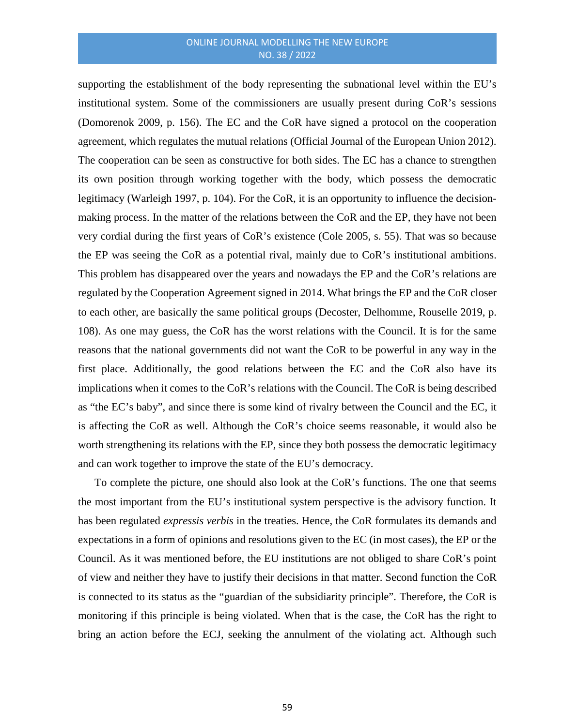supporting the establishment of the body representing the subnational level within the EU's institutional system. Some of the commissioners are usually present during CoR's sessions (Domorenok 2009, p. 156). The EC and the CoR have signed a protocol on the cooperation agreement, which regulates the mutual relations (Official Journal of the European Union 2012). The cooperation can be seen as constructive for both sides. The EC has a chance to strengthen its own position through working together with the body, which possess the democratic legitimacy (Warleigh 1997, p. 104). For the CoR, it is an opportunity to influence the decisionmaking process. In the matter of the relations between the CoR and the EP, they have not been very cordial during the first years of CoR's existence (Cole 2005, s. 55). That was so because the EP was seeing the CoR as a potential rival, mainly due to CoR's institutional ambitions. This problem has disappeared over the years and nowadays the EP and the CoR's relations are regulated by the Cooperation Agreement signed in 2014. What brings the EP and the CoR closer to each other, are basically the same political groups (Decoster, Delhomme, Rouselle 2019, p. 108). As one may guess, the CoR has the worst relations with the Council. It is for the same reasons that the national governments did not want the CoR to be powerful in any way in the first place. Additionally, the good relations between the EC and the CoR also have its implications when it comes to the CoR's relations with the Council. The CoR is being described as "the EC's baby", and since there is some kind of rivalry between the Council and the EC, it is affecting the CoR as well. Although the CoR's choice seems reasonable, it would also be worth strengthening its relations with the EP, since they both possess the democratic legitimacy and can work together to improve the state of the EU's democracy.

To complete the picture, one should also look at the CoR's functions. The one that seems the most important from the EU's institutional system perspective is the advisory function. It has been regulated *expressis verbis* in the treaties. Hence, the CoR formulates its demands and expectations in a form of opinions and resolutions given to the EC (in most cases), the EP or the Council. As it was mentioned before, the EU institutions are not obliged to share CoR's point of view and neither they have to justify their decisions in that matter. Second function the CoR is connected to its status as the "guardian of the subsidiarity principle". Therefore, the CoR is monitoring if this principle is being violated. When that is the case, the CoR has the right to bring an action before the ECJ, seeking the annulment of the violating act. Although such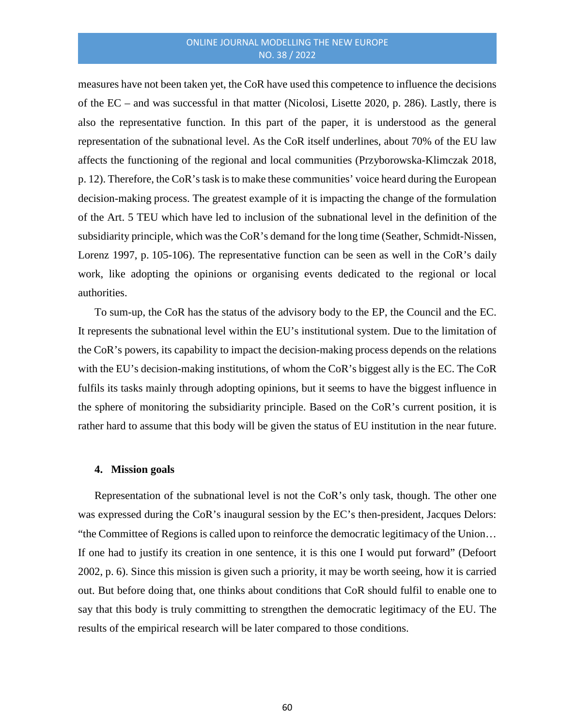measures have not been taken yet, the CoR have used this competence to influence the decisions of the EC – and was successful in that matter (Nicolosi, Lisette 2020, p. 286). Lastly, there is also the representative function. In this part of the paper, it is understood as the general representation of the subnational level. As the CoR itself underlines, about 70% of the EU law affects the functioning of the regional and local communities (Przyborowska-Klimczak 2018, p. 12). Therefore, the CoR's task is to make these communities' voice heard during the European decision-making process. The greatest example of it is impacting the change of the formulation of the Art. 5 TEU which have led to inclusion of the subnational level in the definition of the subsidiarity principle, which was the CoR's demand for the long time (Seather, Schmidt-Nissen, Lorenz 1997, p. 105-106). The representative function can be seen as well in the CoR's daily work, like adopting the opinions or organising events dedicated to the regional or local authorities.

To sum-up, the CoR has the status of the advisory body to the EP, the Council and the EC. It represents the subnational level within the EU's institutional system. Due to the limitation of the CoR's powers, its capability to impact the decision-making process depends on the relations with the EU's decision-making institutions, of whom the CoR's biggest ally is the EC. The CoR fulfils its tasks mainly through adopting opinions, but it seems to have the biggest influence in the sphere of monitoring the subsidiarity principle. Based on the CoR's current position, it is rather hard to assume that this body will be given the status of EU institution in the near future.

#### **4. Mission goals**

Representation of the subnational level is not the CoR's only task, though. The other one was expressed during the CoR's inaugural session by the EC's then-president, Jacques Delors: "the Committee of Regions is called upon to reinforce the democratic legitimacy of the Union… If one had to justify its creation in one sentence, it is this one I would put forward" (Defoort 2002, p. 6). Since this mission is given such a priority, it may be worth seeing, how it is carried out. But before doing that, one thinks about conditions that CoR should fulfil to enable one to say that this body is truly committing to strengthen the democratic legitimacy of the EU. The results of the empirical research will be later compared to those conditions.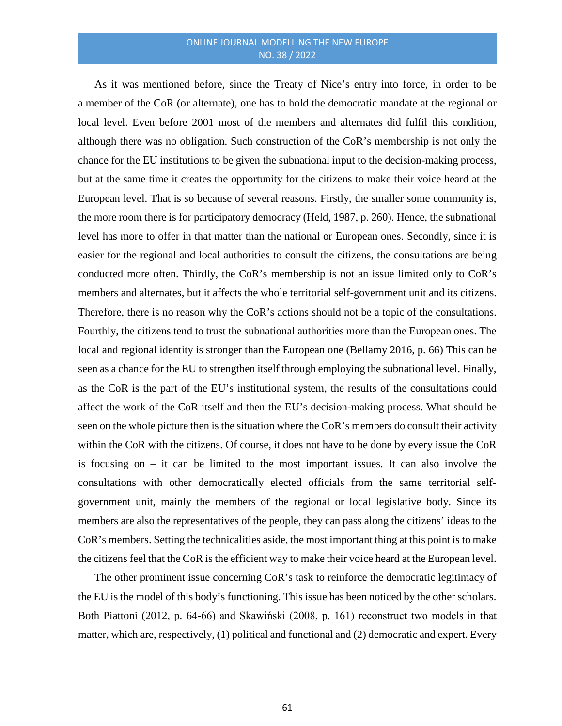As it was mentioned before, since the Treaty of Nice's entry into force, in order to be a member of the CoR (or alternate), one has to hold the democratic mandate at the regional or local level. Even before 2001 most of the members and alternates did fulfil this condition, although there was no obligation. Such construction of the CoR's membership is not only the chance for the EU institutions to be given the subnational input to the decision-making process, but at the same time it creates the opportunity for the citizens to make their voice heard at the European level. That is so because of several reasons. Firstly, the smaller some community is, the more room there is for participatory democracy (Held, 1987, p. 260). Hence, the subnational level has more to offer in that matter than the national or European ones. Secondly, since it is easier for the regional and local authorities to consult the citizens, the consultations are being conducted more often. Thirdly, the CoR's membership is not an issue limited only to CoR's members and alternates, but it affects the whole territorial self-government unit and its citizens. Therefore, there is no reason why the CoR's actions should not be a topic of the consultations. Fourthly, the citizens tend to trust the subnational authorities more than the European ones. The local and regional identity is stronger than the European one (Bellamy 2016, p. 66) This can be seen as a chance for the EU to strengthen itself through employing the subnational level. Finally, as the CoR is the part of the EU's institutional system, the results of the consultations could affect the work of the CoR itself and then the EU's decision-making process. What should be seen on the whole picture then is the situation where the CoR's members do consult their activity within the CoR with the citizens. Of course, it does not have to be done by every issue the CoR is focusing on – it can be limited to the most important issues. It can also involve the consultations with other democratically elected officials from the same territorial selfgovernment unit, mainly the members of the regional or local legislative body. Since its members are also the representatives of the people, they can pass along the citizens' ideas to the CoR's members. Setting the technicalities aside, the most important thing at this point is to make the citizens feel that the CoR is the efficient way to make their voice heard at the European level.

The other prominent issue concerning CoR's task to reinforce the democratic legitimacy of the EU is the model of this body's functioning. This issue has been noticed by the other scholars. Both Piattoni (2012, p. 64-66) and Skawiński (2008, p. 161) reconstruct two models in that matter, which are, respectively, (1) political and functional and (2) democratic and expert. Every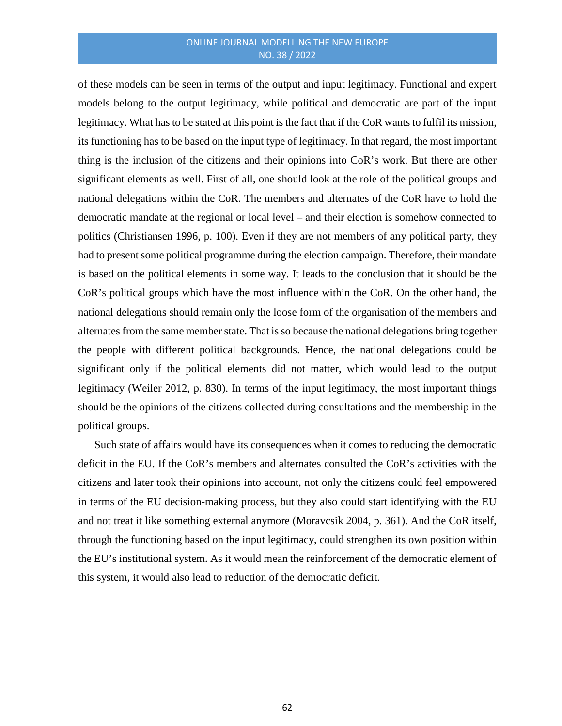of these models can be seen in terms of the output and input legitimacy. Functional and expert models belong to the output legitimacy, while political and democratic are part of the input legitimacy. What has to be stated at this point is the fact that if the CoR wants to fulfil its mission, its functioning has to be based on the input type of legitimacy. In that regard, the most important thing is the inclusion of the citizens and their opinions into CoR's work. But there are other significant elements as well. First of all, one should look at the role of the political groups and national delegations within the CoR. The members and alternates of the CoR have to hold the democratic mandate at the regional or local level – and their election is somehow connected to politics (Christiansen 1996, p. 100). Even if they are not members of any political party, they had to present some political programme during the election campaign. Therefore, their mandate is based on the political elements in some way. It leads to the conclusion that it should be the CoR's political groups which have the most influence within the CoR. On the other hand, the national delegations should remain only the loose form of the organisation of the members and alternates from the same member state. That is so because the national delegations bring together the people with different political backgrounds. Hence, the national delegations could be significant only if the political elements did not matter, which would lead to the output legitimacy (Weiler 2012, p. 830). In terms of the input legitimacy, the most important things should be the opinions of the citizens collected during consultations and the membership in the political groups.

Such state of affairs would have its consequences when it comes to reducing the democratic deficit in the EU. If the CoR's members and alternates consulted the CoR's activities with the citizens and later took their opinions into account, not only the citizens could feel empowered in terms of the EU decision-making process, but they also could start identifying with the EU and not treat it like something external anymore (Moravcsik 2004, p. 361). And the CoR itself, through the functioning based on the input legitimacy, could strengthen its own position within the EU's institutional system. As it would mean the reinforcement of the democratic element of this system, it would also lead to reduction of the democratic deficit.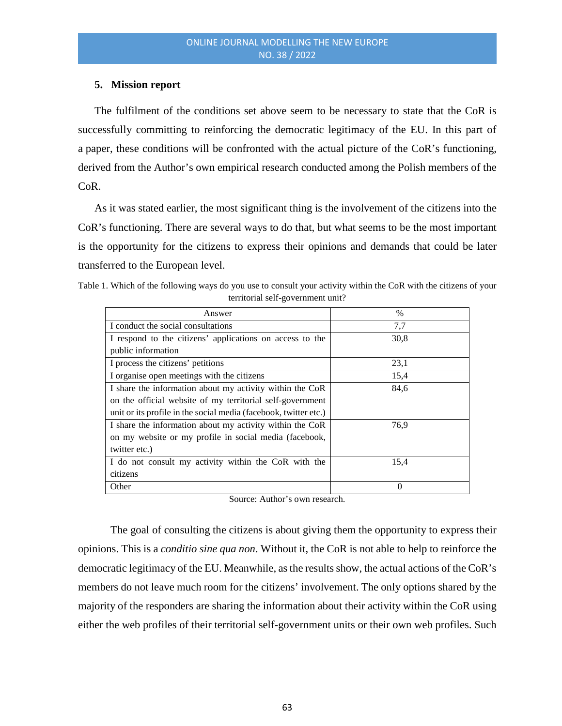# **5. Mission report**

The fulfilment of the conditions set above seem to be necessary to state that the CoR is successfully committing to reinforcing the democratic legitimacy of the EU. In this part of a paper, these conditions will be confronted with the actual picture of the CoR's functioning, derived from the Author's own empirical research conducted among the Polish members of the CoR.

As it was stated earlier, the most significant thing is the involvement of the citizens into the CoR's functioning. There are several ways to do that, but what seems to be the most important is the opportunity for the citizens to express their opinions and demands that could be later transferred to the European level.

| Table 1. Which of the following ways do you use to consult your activity within the CoR with the citizens of your |  |  |  |
|-------------------------------------------------------------------------------------------------------------------|--|--|--|
| territorial self-government unit?                                                                                 |  |  |  |

| Answer                                                           | $\%$ |
|------------------------------------------------------------------|------|
| I conduct the social consultations                               | 7,7  |
| I respond to the citizens' applications on access to the         | 30,8 |
| public information                                               |      |
| I process the citizens' petitions                                | 23,1 |
| I organise open meetings with the citizens                       | 15,4 |
| I share the information about my activity within the CoR         | 84,6 |
| on the official website of my territorial self-government        |      |
| unit or its profile in the social media (facebook, twitter etc.) |      |
| I share the information about my activity within the CoR         | 76,9 |
| on my website or my profile in social media (facebook,           |      |
| twitter etc.)                                                    |      |
| I do not consult my activity within the CoR with the             | 15,4 |
| citizens                                                         |      |
| Other                                                            | 0    |

Source: Author's own research.

The goal of consulting the citizens is about giving them the opportunity to express their opinions. This is a *conditio sine qua non*. Without it, the CoR is not able to help to reinforce the democratic legitimacy of the EU. Meanwhile, as the results show, the actual actions of the CoR's members do not leave much room for the citizens' involvement. The only options shared by the majority of the responders are sharing the information about their activity within the CoR using either the web profiles of their territorial self-government units or their own web profiles. Such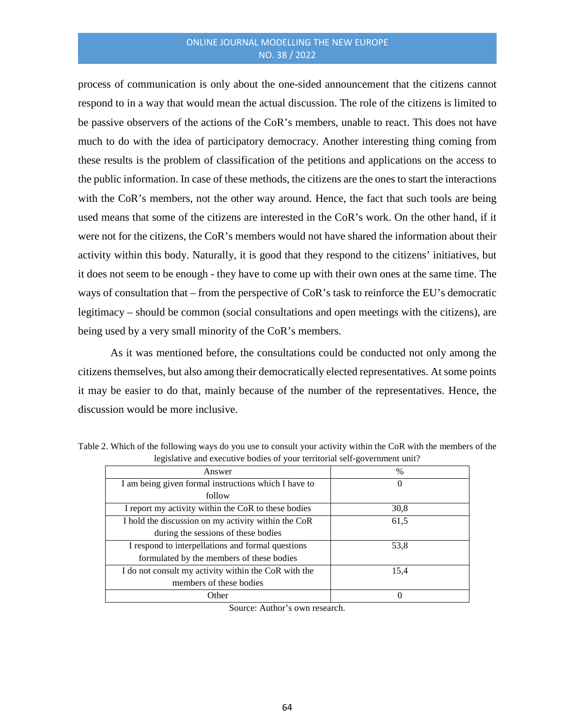process of communication is only about the one-sided announcement that the citizens cannot respond to in a way that would mean the actual discussion. The role of the citizens is limited to be passive observers of the actions of the CoR's members, unable to react. This does not have much to do with the idea of participatory democracy. Another interesting thing coming from these results is the problem of classification of the petitions and applications on the access to the public information. In case of these methods, the citizens are the ones to start the interactions with the CoR's members, not the other way around. Hence, the fact that such tools are being used means that some of the citizens are interested in the CoR's work. On the other hand, if it were not for the citizens, the CoR's members would not have shared the information about their activity within this body. Naturally, it is good that they respond to the citizens' initiatives, but it does not seem to be enough - they have to come up with their own ones at the same time. The ways of consultation that – from the perspective of CoR's task to reinforce the EU's democratic legitimacy – should be common (social consultations and open meetings with the citizens), are being used by a very small minority of the CoR's members.

As it was mentioned before, the consultations could be conducted not only among the citizens themselves, but also among their democratically elected representatives. At some points it may be easier to do that, mainly because of the number of the representatives. Hence, the discussion would be more inclusive.

| Answer                                               | $\%$     |
|------------------------------------------------------|----------|
| I am being given formal instructions which I have to | $\theta$ |
| follow                                               |          |
| I report my activity within the CoR to these bodies  | 30,8     |
| I hold the discussion on my activity within the CoR  | 61,5     |
| during the sessions of these bodies                  |          |
| I respond to interpellations and formal questions    | 53,8     |
| formulated by the members of these bodies            |          |
| I do not consult my activity within the CoR with the | 15,4     |
| members of these bodies                              |          |
| Other                                                |          |

Table 2. Which of the following ways do you use to consult your activity within the CoR with the members of the legislative and executive bodies of your territorial self-government unit?

Source: Author's own research.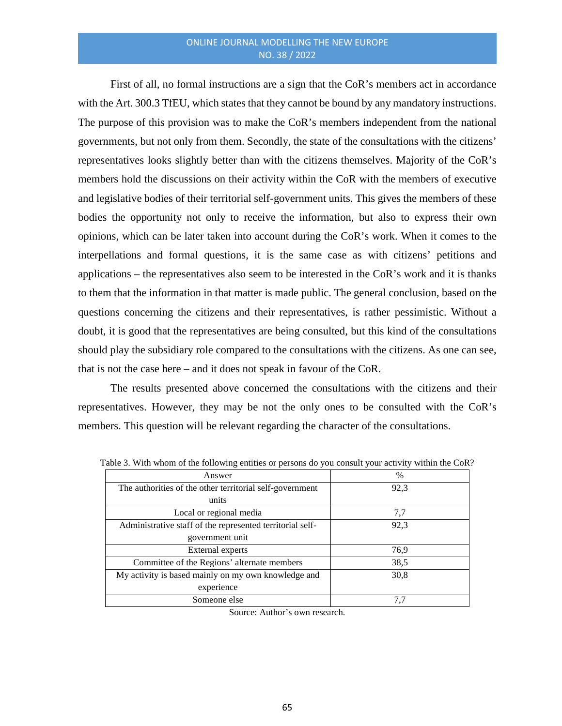First of all, no formal instructions are a sign that the CoR's members act in accordance with the Art. 300.3 TfEU, which states that they cannot be bound by any mandatory instructions. The purpose of this provision was to make the CoR's members independent from the national governments, but not only from them. Secondly, the state of the consultations with the citizens' representatives looks slightly better than with the citizens themselves. Majority of the CoR's members hold the discussions on their activity within the CoR with the members of executive and legislative bodies of their territorial self-government units. This gives the members of these bodies the opportunity not only to receive the information, but also to express their own opinions, which can be later taken into account during the CoR's work. When it comes to the interpellations and formal questions, it is the same case as with citizens' petitions and applications – the representatives also seem to be interested in the CoR's work and it is thanks to them that the information in that matter is made public. The general conclusion, based on the questions concerning the citizens and their representatives, is rather pessimistic. Without a doubt, it is good that the representatives are being consulted, but this kind of the consultations should play the subsidiary role compared to the consultations with the citizens. As one can see, that is not the case here – and it does not speak in favour of the CoR.

The results presented above concerned the consultations with the citizens and their representatives. However, they may be not the only ones to be consulted with the CoR's members. This question will be relevant regarding the character of the consultations.

| Answer                                                    | $\%$ |
|-----------------------------------------------------------|------|
| The authorities of the other territorial self-government  | 92,3 |
| units                                                     |      |
| Local or regional media                                   | 7,7  |
| Administrative staff of the represented territorial self- | 92,3 |
| government unit                                           |      |
| External experts                                          | 76,9 |
| Committee of the Regions' alternate members               | 38,5 |
| My activity is based mainly on my own knowledge and       | 30,8 |
| experience                                                |      |
| Someone else                                              | 7.7  |

Table 3. With whom of the following entities or persons do you consult your activity within the CoR?

Source: Author's own research.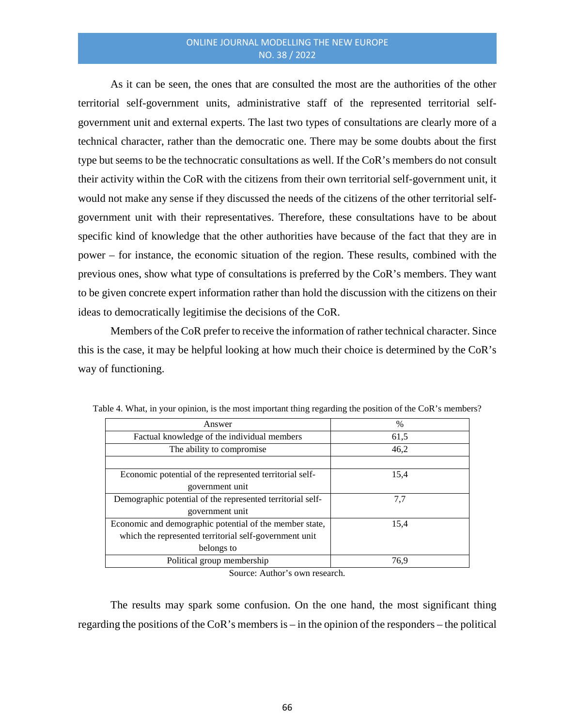As it can be seen, the ones that are consulted the most are the authorities of the other territorial self-government units, administrative staff of the represented territorial selfgovernment unit and external experts. The last two types of consultations are clearly more of a technical character, rather than the democratic one. There may be some doubts about the first type but seems to be the technocratic consultations as well. If the CoR's members do not consult their activity within the CoR with the citizens from their own territorial self-government unit, it would not make any sense if they discussed the needs of the citizens of the other territorial selfgovernment unit with their representatives. Therefore, these consultations have to be about specific kind of knowledge that the other authorities have because of the fact that they are in power – for instance, the economic situation of the region. These results, combined with the previous ones, show what type of consultations is preferred by the CoR's members. They want to be given concrete expert information rather than hold the discussion with the citizens on their ideas to democratically legitimise the decisions of the CoR.

Members of the CoR prefer to receive the information of rather technical character. Since this is the case, it may be helpful looking at how much their choice is determined by the CoR's way of functioning.

| Answer                                                     | $\%$ |
|------------------------------------------------------------|------|
| Factual knowledge of the individual members                | 61,5 |
| The ability to compromise                                  | 46,2 |
|                                                            |      |
| Economic potential of the represented territorial self-    | 15,4 |
| government unit                                            |      |
| Demographic potential of the represented territorial self- | 7,7  |
| government unit                                            |      |
| Economic and demographic potential of the member state,    | 15,4 |
| which the represented territorial self-government unit     |      |
| belongs to                                                 |      |
| Political group membership                                 | 76,9 |

Table 4. What, in your opinion, is the most important thing regarding the position of the CoR's members?

Source: Author's own research.

The results may spark some confusion. On the one hand, the most significant thing regarding the positions of the CoR's members is – in the opinion of the responders – the political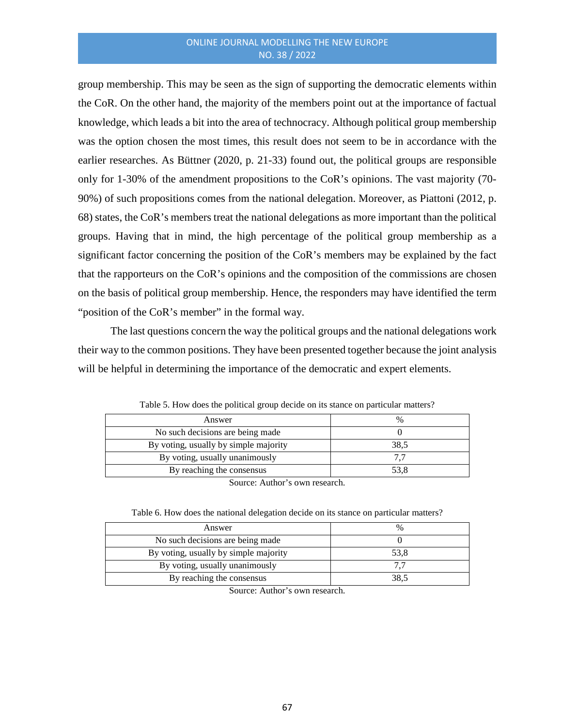group membership. This may be seen as the sign of supporting the democratic elements within the CoR. On the other hand, the majority of the members point out at the importance of factual knowledge, which leads a bit into the area of technocracy. Although political group membership was the option chosen the most times, this result does not seem to be in accordance with the earlier researches. As Büttner (2020, p. 21-33) found out, the political groups are responsible only for 1-30% of the amendment propositions to the CoR's opinions. The vast majority (70- 90%) of such propositions comes from the national delegation. Moreover, as Piattoni (2012, p. 68) states, the CoR's members treat the national delegations as more important than the political groups. Having that in mind, the high percentage of the political group membership as a significant factor concerning the position of the CoR's members may be explained by the fact that the rapporteurs on the CoR's opinions and the composition of the commissions are chosen on the basis of political group membership. Hence, the responders may have identified the term "position of the CoR's member" in the formal way.

The last questions concern the way the political groups and the national delegations work their way to the common positions. They have been presented together because the joint analysis will be helpful in determining the importance of the democratic and expert elements.

| Answer                                | $\%$ |  |  |  |
|---------------------------------------|------|--|--|--|
| No such decisions are being made.     |      |  |  |  |
| By voting, usually by simple majority | 38,5 |  |  |  |
| By voting, usually unanimously        |      |  |  |  |
| By reaching the consensus             | 53,8 |  |  |  |
|                                       |      |  |  |  |

Table 5. How does the political group decide on its stance on particular matters?

Source: Author's own research.

| Table 6. How does the national delegation decide on its stance on particular matters? |  |  |  |  |  |  |  |
|---------------------------------------------------------------------------------------|--|--|--|--|--|--|--|
|---------------------------------------------------------------------------------------|--|--|--|--|--|--|--|

| Answer                                | $\%$ |
|---------------------------------------|------|
| No such decisions are being made.     |      |
| By voting, usually by simple majority | 53,8 |
| By voting, usually unanimously        |      |
| By reaching the consensus             | 38.5 |

Source: Author's own research.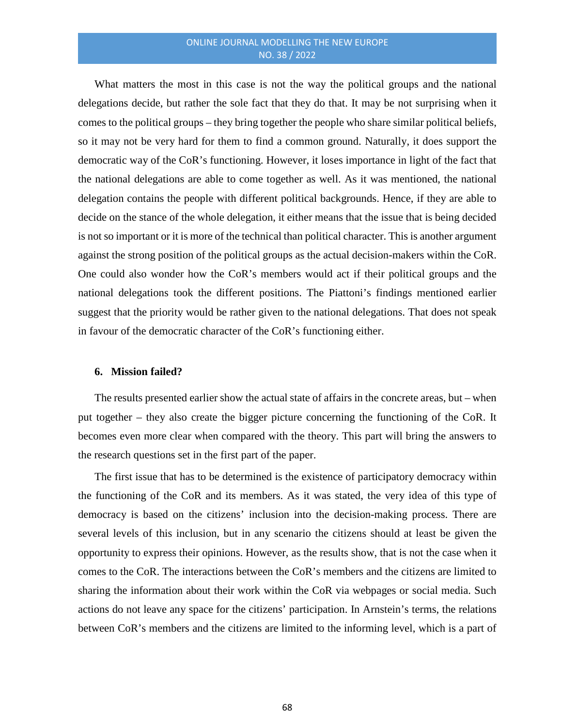What matters the most in this case is not the way the political groups and the national delegations decide, but rather the sole fact that they do that. It may be not surprising when it comes to the political groups – they bring together the people who share similar political beliefs, so it may not be very hard for them to find a common ground. Naturally, it does support the democratic way of the CoR's functioning. However, it loses importance in light of the fact that the national delegations are able to come together as well. As it was mentioned, the national delegation contains the people with different political backgrounds. Hence, if they are able to decide on the stance of the whole delegation, it either means that the issue that is being decided is not so important or it is more of the technical than political character. This is another argument against the strong position of the political groups as the actual decision-makers within the CoR. One could also wonder how the CoR's members would act if their political groups and the national delegations took the different positions. The Piattoni's findings mentioned earlier suggest that the priority would be rather given to the national delegations. That does not speak in favour of the democratic character of the CoR's functioning either.

#### **6. Mission failed?**

The results presented earlier show the actual state of affairs in the concrete areas, but – when put together – they also create the bigger picture concerning the functioning of the CoR. It becomes even more clear when compared with the theory. This part will bring the answers to the research questions set in the first part of the paper.

The first issue that has to be determined is the existence of participatory democracy within the functioning of the CoR and its members. As it was stated, the very idea of this type of democracy is based on the citizens' inclusion into the decision-making process. There are several levels of this inclusion, but in any scenario the citizens should at least be given the opportunity to express their opinions. However, as the results show, that is not the case when it comes to the CoR. The interactions between the CoR's members and the citizens are limited to sharing the information about their work within the CoR via webpages or social media. Such actions do not leave any space for the citizens' participation. In Arnstein's terms, the relations between CoR's members and the citizens are limited to the informing level, which is a part of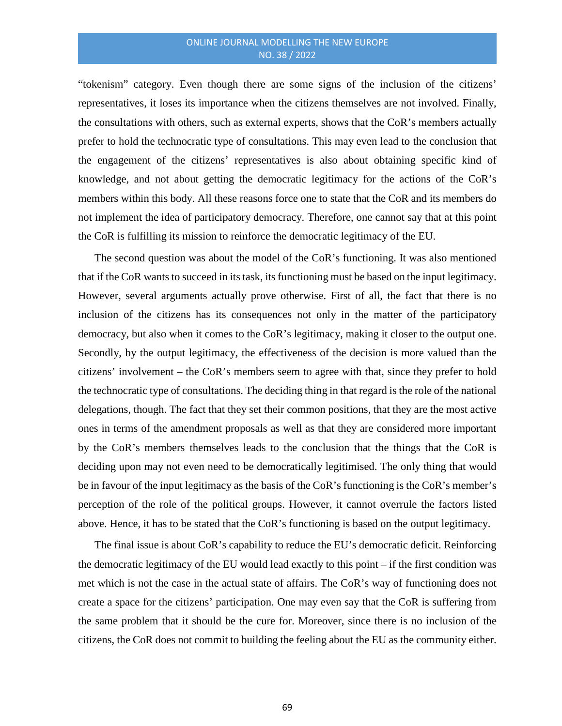"tokenism" category. Even though there are some signs of the inclusion of the citizens' representatives, it loses its importance when the citizens themselves are not involved. Finally, the consultations with others, such as external experts, shows that the CoR's members actually prefer to hold the technocratic type of consultations. This may even lead to the conclusion that the engagement of the citizens' representatives is also about obtaining specific kind of knowledge, and not about getting the democratic legitimacy for the actions of the CoR's members within this body. All these reasons force one to state that the CoR and its members do not implement the idea of participatory democracy. Therefore, one cannot say that at this point the CoR is fulfilling its mission to reinforce the democratic legitimacy of the EU.

The second question was about the model of the CoR's functioning. It was also mentioned that if the CoR wants to succeed in its task, its functioning must be based on the input legitimacy. However, several arguments actually prove otherwise. First of all, the fact that there is no inclusion of the citizens has its consequences not only in the matter of the participatory democracy, but also when it comes to the CoR's legitimacy, making it closer to the output one. Secondly, by the output legitimacy, the effectiveness of the decision is more valued than the citizens' involvement – the CoR's members seem to agree with that, since they prefer to hold the technocratic type of consultations. The deciding thing in that regard is the role of the national delegations, though. The fact that they set their common positions, that they are the most active ones in terms of the amendment proposals as well as that they are considered more important by the CoR's members themselves leads to the conclusion that the things that the CoR is deciding upon may not even need to be democratically legitimised. The only thing that would be in favour of the input legitimacy as the basis of the CoR's functioning is the CoR's member's perception of the role of the political groups. However, it cannot overrule the factors listed above. Hence, it has to be stated that the CoR's functioning is based on the output legitimacy.

The final issue is about CoR's capability to reduce the EU's democratic deficit. Reinforcing the democratic legitimacy of the EU would lead exactly to this point – if the first condition was met which is not the case in the actual state of affairs. The CoR's way of functioning does not create a space for the citizens' participation. One may even say that the CoR is suffering from the same problem that it should be the cure for. Moreover, since there is no inclusion of the citizens, the CoR does not commit to building the feeling about the EU as the community either.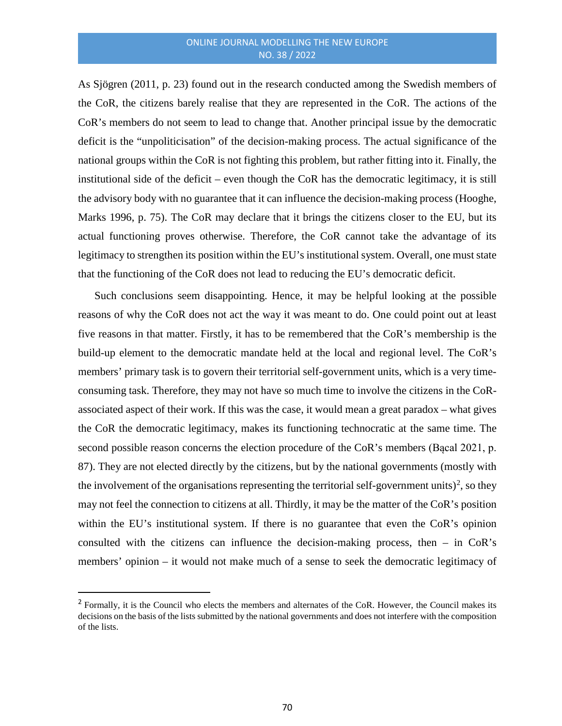As Sjögren (2011, p. 23) found out in the research conducted among the Swedish members of the CoR, the citizens barely realise that they are represented in the CoR. The actions of the CoR's members do not seem to lead to change that. Another principal issue by the democratic deficit is the "unpoliticisation" of the decision-making process. The actual significance of the national groups within the CoR is not fighting this problem, but rather fitting into it. Finally, the institutional side of the deficit – even though the CoR has the democratic legitimacy, it is still the advisory body with no guarantee that it can influence the decision-making process (Hooghe, Marks 1996, p. 75). The CoR may declare that it brings the citizens closer to the EU, but its actual functioning proves otherwise. Therefore, the CoR cannot take the advantage of its legitimacy to strengthen its position within the EU's institutional system. Overall, one must state that the functioning of the CoR does not lead to reducing the EU's democratic deficit.

Such conclusions seem disappointing. Hence, it may be helpful looking at the possible reasons of why the CoR does not act the way it was meant to do. One could point out at least five reasons in that matter. Firstly, it has to be remembered that the CoR's membership is the build-up element to the democratic mandate held at the local and regional level. The CoR's members' primary task is to govern their territorial self-government units, which is a very timeconsuming task. Therefore, they may not have so much time to involve the citizens in the CoRassociated aspect of their work. If this was the case, it would mean a great paradox – what gives the CoR the democratic legitimacy, makes its functioning technocratic at the same time. The second possible reason concerns the election procedure of the CoR's members (Bącal 2021, p. 87). They are not elected directly by the citizens, but by the national governments (mostly with the involvement of the organisations representing the territorial self-government units)<sup>[2](#page-17-0)</sup>, so they may not feel the connection to citizens at all. Thirdly, it may be the matter of the CoR's position within the EU's institutional system. If there is no guarantee that even the CoR's opinion consulted with the citizens can influence the decision-making process, then – in CoR's members' opinion – it would not make much of a sense to seek the democratic legitimacy of

<span id="page-17-0"></span><sup>&</sup>lt;sup>2</sup> Formally, it is the Council who elects the members and alternates of the CoR. However, the Council makes its decisions on the basis of the lists submitted by the national governments and does not interfere with the composition of the lists.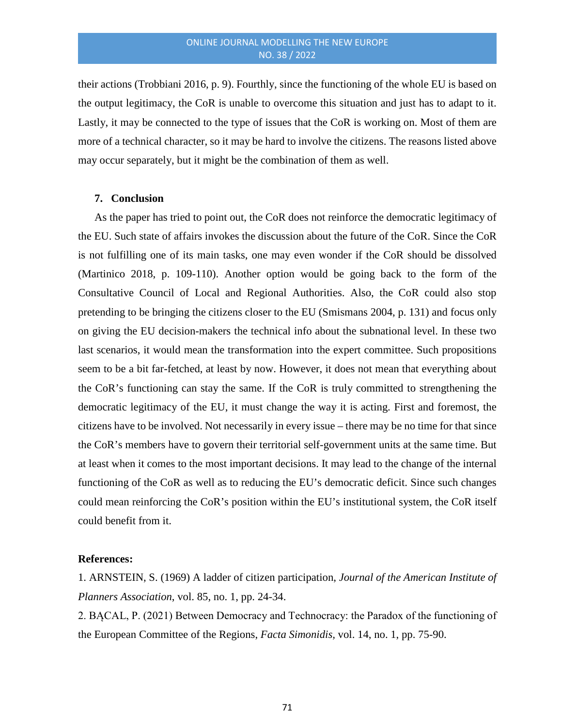their actions (Trobbiani 2016, p. 9). Fourthly, since the functioning of the whole EU is based on the output legitimacy, the CoR is unable to overcome this situation and just has to adapt to it. Lastly, it may be connected to the type of issues that the CoR is working on. Most of them are more of a technical character, so it may be hard to involve the citizens. The reasons listed above may occur separately, but it might be the combination of them as well.

#### **7. Conclusion**

As the paper has tried to point out, the CoR does not reinforce the democratic legitimacy of the EU. Such state of affairs invokes the discussion about the future of the CoR. Since the CoR is not fulfilling one of its main tasks, one may even wonder if the CoR should be dissolved (Martinico 2018, p. 109-110). Another option would be going back to the form of the Consultative Council of Local and Regional Authorities. Also, the CoR could also stop pretending to be bringing the citizens closer to the EU (Smismans 2004, p. 131) and focus only on giving the EU decision-makers the technical info about the subnational level. In these two last scenarios, it would mean the transformation into the expert committee. Such propositions seem to be a bit far-fetched, at least by now. However, it does not mean that everything about the CoR's functioning can stay the same. If the CoR is truly committed to strengthening the democratic legitimacy of the EU, it must change the way it is acting. First and foremost, the citizens have to be involved. Not necessarily in every issue – there may be no time for that since the CoR's members have to govern their territorial self-government units at the same time. But at least when it comes to the most important decisions. It may lead to the change of the internal functioning of the CoR as well as to reducing the EU's democratic deficit. Since such changes could mean reinforcing the CoR's position within the EU's institutional system, the CoR itself could benefit from it.

#### **References:**

1. ARNSTEIN, S. (1969) A ladder of citizen participation, *Journal of the American Institute of Planners Association*, vol. 85, no. 1, pp. 24-34.

2. BĄCAL, P. (2021) Between Democracy and Technocracy: the Paradox of the functioning of the European Committee of the Regions, *Facta Simonidis,* vol. 14, no. 1, pp. 75-90.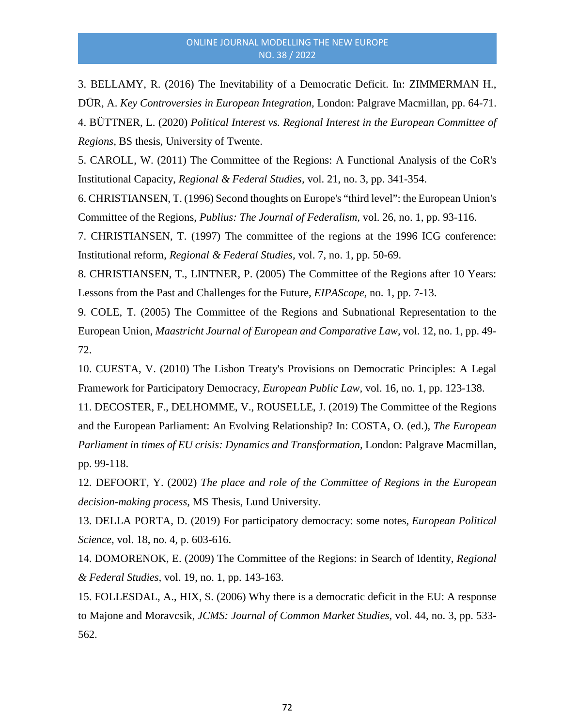3. BELLAMY, R. (2016) The Inevitability of a Democratic Deficit. In: ZIMMERMAN H., DÜR, A. *Key Controversies in European Integration,* London: Palgrave Macmillan, pp. 64-71. 4. BÜTTNER, L. (2020) *Political Interest vs. Regional Interest in the European Committee of Regions,* BS thesis, University of Twente.

5. CAROLL, W. (2011) The Committee of the Regions: A Functional Analysis of the CoR's Institutional Capacity, *Regional & Federal Studies,* vol. 21, no. 3, pp. 341-354.

6. CHRISTIANSEN, T. (1996) Second thoughts on Europe's "third level": the European Union's Committee of the Regions, *Publius: The Journal of Federalism,* vol. 26, no. 1, pp. 93-116.

7. CHRISTIANSEN, T. (1997) The committee of the regions at the 1996 ICG conference: Institutional reform, *Regional & Federal Studies,* vol. 7, no. 1, pp. 50-69.

8. CHRISTIANSEN, T., LINTNER, P. (2005) The Committee of the Regions after 10 Years: Lessons from the Past and Challenges for the Future, *EIPAScope,* no. 1, pp. 7-13.

9. COLE, T. (2005) The Committee of the Regions and Subnational Representation to the European Union, *Maastricht Journal of European and Comparative Law,* vol. 12, no. 1, pp. 49- 72.

10. CUESTA, V. (2010) The Lisbon Treaty's Provisions on Democratic Principles: A Legal Framework for Participatory Democracy, *European Public Law,* vol. 16, no. 1, pp. 123-138.

11. DECOSTER, F., DELHOMME, V., ROUSELLE, J. (2019) The Committee of the Regions and the European Parliament: An Evolving Relationship? In: COSTA, O. (ed.), *The European Parliament in times of EU crisis: Dynamics and Transformation, London: Palgrave Macmillan,* pp. 99-118.

12. DEFOORT, Y. (2002) *The place and role of the Committee of Regions in the European decision-making process,* MS Thesis, Lund University.

13. DELLA PORTA, D. (2019) For participatory democracy: some notes, *European Political Science*, vol. 18, no. 4, p. 603-616.

14. DOMORENOK, E. (2009) The Committee of the Regions: in Search of Identity, *Regional & Federal Studies,* vol. 19, no. 1, pp. 143-163.

15. FOLLESDAL, A., HIX, S. (2006) Why there is a democratic deficit in the EU: A response to Majone and Moravcsik, *JCMS: Journal of Common Market Studies,* vol. 44, no. 3, pp. 533- 562.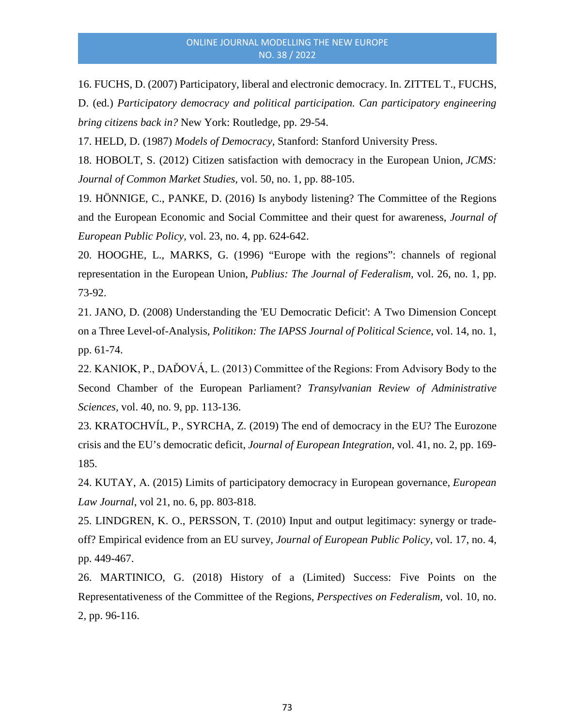16. FUCHS, D. (2007) Participatory, liberal and electronic democracy. In. ZITTEL T., FUCHS, D. (ed.) *Participatory democracy and political participation. Can participatory engineering bring citizens back in?* New York: Routledge, pp. 29-54.

17. HELD, D. (1987) *Models of Democracy,* Stanford: Stanford University Press.

18. HOBOLT, S. (2012) Citizen satisfaction with democracy in the European Union, *JCMS: Journal of Common Market Studies,* vol. 50, no. 1, pp. 88-105.

19. HÖNNIGE, C., PANKE, D. (2016) Is anybody listening? The Committee of the Regions and the European Economic and Social Committee and their quest for awareness, *Journal of European Public Policy,* vol. 23, no. 4, pp. 624-642.

20. HOOGHE, L., MARKS, G. (1996) "Europe with the regions": channels of regional representation in the European Union, *Publius: The Journal of Federalism,* vol. 26, no. 1, pp. 73-92.

21. JANO, D. (2008) Understanding the 'EU Democratic Deficit': A Two Dimension Concept on a Three Level-of-Analysis, *Politikon: The IAPSS Journal of Political Science*, vol. 14, no. 1, pp. 61-74.

22. KANIOK, P., DAĎOVÁ, L. (2013) Committee of the Regions: From Advisory Body to the Second Chamber of the European Parliament? *Transylvanian Review of Administrative Sciences,* vol. 40, no. 9, pp. 113-136.

23. KRATOCHVÍL, P., SYRCHA, Z. (2019) The end of democracy in the EU? The Eurozone crisis and the EU's democratic deficit, *Journal of European Integration*, vol. 41, no. 2, pp. 169- 185.

24. KUTAY, A. (2015) Limits of participatory democracy in European governance, *European Law Journal*, vol 21, no. 6, pp. 803-818.

25. LINDGREN, K. O., PERSSON, T. (2010) Input and output legitimacy: synergy or tradeoff? Empirical evidence from an EU survey, *Journal of European Public Policy*, vol. 17, no. 4, pp. 449-467.

26. MARTINICO, G. (2018) History of a (Limited) Success: Five Points on the Representativeness of the Committee of the Regions, *Perspectives on Federalism,* vol. 10, no. 2, pp. 96-116.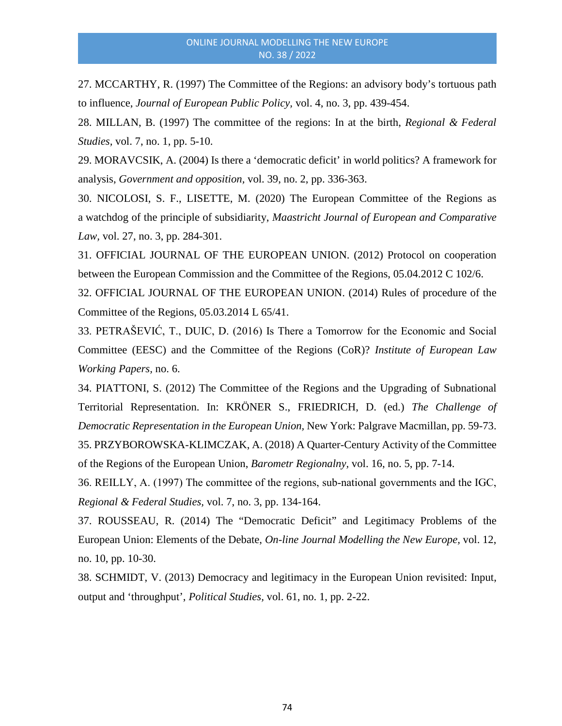27. MCCARTHY, R. (1997) The Committee of the Regions: an advisory body's tortuous path to influence, *Journal of European Public Policy,* vol. 4, no. 3, pp. 439-454.

28. MILLAN, B. (1997) The committee of the regions: In at the birth, *Regional & Federal Studies,* vol. 7, no. 1, pp. 5-10.

29. MORAVCSIK, A. (2004) Is there a 'democratic deficit' in world politics? A framework for analysis, *Government and opposition,* vol. 39, no. 2, pp. 336-363.

30. NICOLOSI, S. F., LISETTE, M. (2020) The European Committee of the Regions as a watchdog of the principle of subsidiarity, *Maastricht Journal of European and Comparative Law,* vol. 27, no. 3, pp. 284-301.

31. OFFICIAL JOURNAL OF THE EUROPEAN UNION. (2012) Protocol on cooperation between the European Commission and the Committee of the Regions, 05.04.2012 C 102/6.

32. OFFICIAL JOURNAL OF THE EUROPEAN UNION. (2014) Rules of procedure of the Committee of the Regions, 05.03.2014 L 65/41.

33. PETRAŠEVIĆ, T., DUIC, D. (2016) Is There a Tomorrow for the Economic and Social Committee (EESC) and the Committee of the Regions (CoR)? *Institute of European Law Working Papers,* no. 6.

34. PIATTONI, S. (2012) The Committee of the Regions and the Upgrading of Subnational Territorial Representation. In: KRÖNER S., FRIEDRICH, D. (ed.) *The Challenge of Democratic Representation in the European Union,* New York: Palgrave Macmillan, pp. 59-73. 35. PRZYBOROWSKA-KLIMCZAK, A. (2018) A Quarter-Century Activity of the Committee of the Regions of the European Union, *Barometr Regionalny,* vol. 16, no. 5, pp. 7-14.

36. REILLY, A. (1997) The committee of the regions, sub‐national governments and the IGC, *Regional & Federal Studies,* vol. 7, no. 3, pp. 134-164.

37. ROUSSEAU, R. (2014) The "Democratic Deficit" and Legitimacy Problems of the European Union: Elements of the Debate, *On-line Journal Modelling the New Europe,* vol. 12, no. 10, pp. 10-30.

38. SCHMIDT, V. (2013) Democracy and legitimacy in the European Union revisited: Input, output and 'throughput', *Political Studies,* vol. 61, no. 1, pp. 2-22.